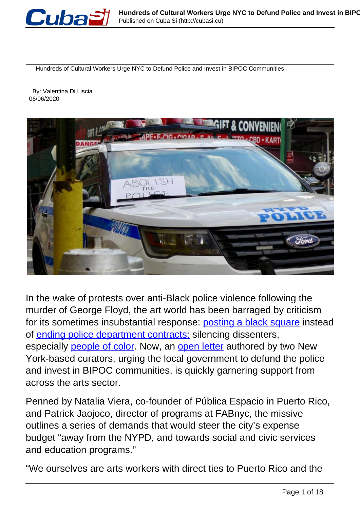

Hundreds of Cultural Workers Urge NYC to Defund Police and Invest in BIPOC Communities

 By: Valentina Di Liscia 06/06/2020



In the wake of protests over anti-Black police violence following the murder of George Floyd, the art world has been barraged by criticism for its sometimes insubstantial response: [posting a black square](https://hyperallergic.com/568933/black-lives-matter-white-allies-social-media/) instead of ending police department contracts; silencing dissenters, especially **people of color**. Now, an **open letter** authored by two New York-based curators, urging the local government to defund the police and invest in BIPOC communities, is quickly garnering support from across the arts sector.

Penned by Natalia Viera, co-founder of Pública Espacio in Puerto Rico, and Patrick Jaojoco, director of programs at FABnyc, the missive outlines a series of demands that would steer the city's expense budget "away from the NYPD, and towards social and civic services and education programs."

"We ourselves are arts workers with direct ties to Puerto Rico and the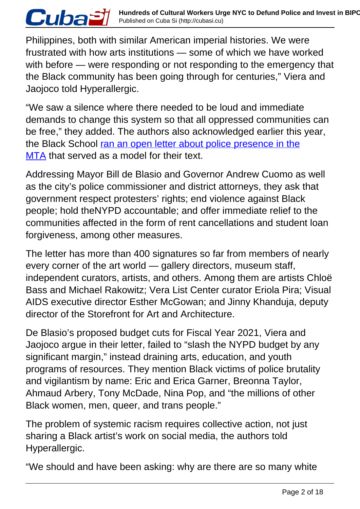Philippines, both with similar American imperial histories. We were frustrated with how arts institutions — some of which we have worked with before — were responding or not responding to the emergency that the Black community has been going through for centuries," Viera and Jaojoco told Hyperallergic.

*Cubaฮi* 

"We saw a silence where there needed to be loud and immediate demands to change this system so that all oppressed communities can be free," they added. The authors also acknowledged earlier this year, the Black School ran an open letter about police presence in the MTA that served as a model for their text.

Addressing Mayor Bill de Blasio and Governor Andrew Cuomo as well as the city's police commissioner and district attorneys, they ask that government respect protesters' rights; end violence against Black people; hold theNYPD accountable; and offer immediate relief to the communities affected in the form of rent cancellations and student loan forgiveness, among other measures.

The letter has more than 400 signatures so far from members of nearly every corner of the art world — gallery directors, museum staff, independent curators, artists, and others. Among them are artists Chloë Bass and Michael Rakowitz; Vera List Center curator Eriola Pira; Visual AIDS executive director Esther McGowan; and Jinny Khanduja, deputy director of the Storefront for Art and Architecture.

De Blasio's proposed budget cuts for Fiscal Year 2021, Viera and Jaojoco argue in their letter, failed to "slash the NYPD budget by any significant margin," instead draining arts, education, and youth programs of resources. They mention Black victims of police brutality and vigilantism by name: Eric and Erica Garner, Breonna Taylor, Ahmaud Arbery, Tony McDade, Nina Pop, and "the millions of other Black women, men, queer, and trans people."

The problem of systemic racism requires collective action, not just sharing a Black artist's work on social media, the authors told Hyperallergic.

"We should and have been asking: why are there are so many white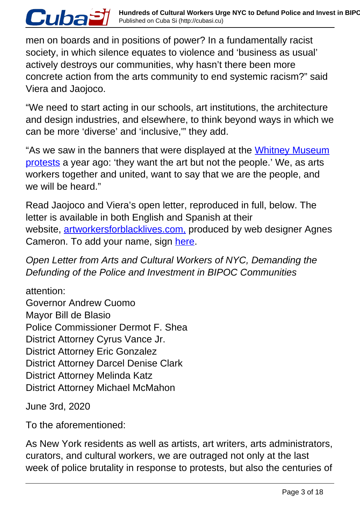men on boards and in positions of power? In a fundamentally racist society, in which silence equates to violence and 'business as usual' actively destroys our communities, why hasn't there been more concrete action from the arts community to end systemic racism?" said Viera and Jaojoco.

"We need to start acting in our schools, art institutions, the architecture and design industries, and elsewhere, to think beyond ways in which we can be more 'diverse' and 'inclusive,'" they add.

"As we saw in the banners that were displayed at the Whitney Museum protests a year ago: 'they want the art but not the people.' We, as arts workers together and united, want to say that we are the people, and we will be heard."

Read Jaojoco and Viera's open letter, reproduced in full, below. The letter is available in both English and Spanish at their website, artworkersforblacklives.com, produced by web designer Agnes Cameron. To add your name, sign here.

Open Letter from Arts and Cultural Workers of NYC, Demanding the Defunding of the Police and Investment in BIPOC Communities

attention: Governor Andrew Cuomo Mayor Bill de Blasio Police Commissioner Dermot F. Shea District Attorney Cyrus Vance Jr. District Attorney Eric Gonzalez District Attorney Darcel Denise Clark District Attorney Melinda Katz District Attorney Michael McMahon

June 3rd, 2020

CubaĐi

To the aforementioned:

As New York residents as well as artists, art writers, arts administrators, curators, and cultural workers, we are outraged not only at the last week of police brutality in response to protests, but also the centuries of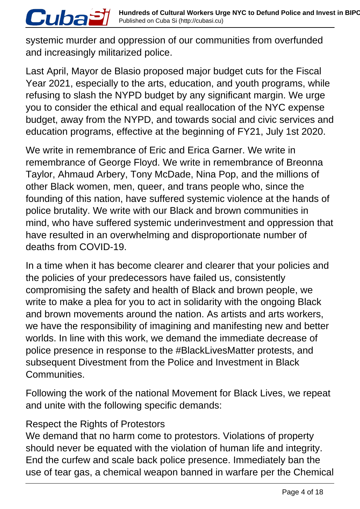systemic murder and oppression of our communities from overfunded and increasingly militarized police.

Last April, Mayor de Blasio proposed major budget cuts for the Fiscal Year 2021, especially to the arts, education, and youth programs, while refusing to slash the NYPD budget by any significant margin. We urge you to consider the ethical and equal reallocation of the NYC expense budget, away from the NYPD, and towards social and civic services and education programs, effective at the beginning of FY21, July 1st 2020.

We write in remembrance of Eric and Erica Garner. We write in remembrance of George Floyd. We write in remembrance of Breonna Taylor, Ahmaud Arbery, Tony McDade, Nina Pop, and the millions of other Black women, men, queer, and trans people who, since the founding of this nation, have suffered systemic violence at the hands of police brutality. We write with our Black and brown communities in mind, who have suffered systemic underinvestment and oppression that have resulted in an overwhelming and disproportionate number of deaths from COVID-19.

In a time when it has become clearer and clearer that your policies and the policies of your predecessors have failed us, consistently compromising the safety and health of Black and brown people, we write to make a plea for you to act in solidarity with the ongoing Black and brown movements around the nation. As artists and arts workers, we have the responsibility of imagining and manifesting new and better worlds. In line with this work, we demand the immediate decrease of police presence in response to the #BlackLivesMatter protests, and subsequent Divestment from the Police and Investment in Black Communities.

Following the work of the national Movement for Black Lives, we repeat and unite with the following specific demands:

#### Respect the Rights of Protestors

*Cubaă* 

We demand that no harm come to protestors. Violations of property should never be equated with the violation of human life and integrity. End the curfew and scale back police presence. Immediately ban the use of tear gas, a chemical weapon banned in warfare per the Chemical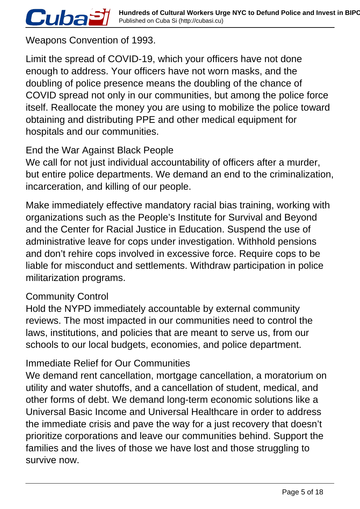Weapons Convention of 1993.

Cuba<sup>s</sup>

Limit the spread of COVID-19, which your officers have not done enough to address. Your officers have not worn masks, and the doubling of police presence means the doubling of the chance of COVID spread not only in our communities, but among the police force itself. Reallocate the money you are using to mobilize the police toward obtaining and distributing PPE and other medical equipment for hospitals and our communities.

### End the War Against Black People

We call for not just individual accountability of officers after a murder, but entire police departments. We demand an end to the criminalization, incarceration, and killing of our people.

Make immediately effective mandatory racial bias training, working with organizations such as the People's Institute for Survival and Beyond and the Center for Racial Justice in Education. Suspend the use of administrative leave for cops under investigation. Withhold pensions and don't rehire cops involved in excessive force. Require cops to be liable for misconduct and settlements. Withdraw participation in police militarization programs.

#### Community Control

Hold the NYPD immediately accountable by external community reviews. The most impacted in our communities need to control the laws, institutions, and policies that are meant to serve us, from our schools to our local budgets, economies, and police department.

#### Immediate Relief for Our Communities

We demand rent cancellation, mortgage cancellation, a moratorium on utility and water shutoffs, and a cancellation of student, medical, and other forms of debt. We demand long-term economic solutions like a Universal Basic Income and Universal Healthcare in order to address the immediate crisis and pave the way for a just recovery that doesn't prioritize corporations and leave our communities behind. Support the families and the lives of those we have lost and those struggling to survive now.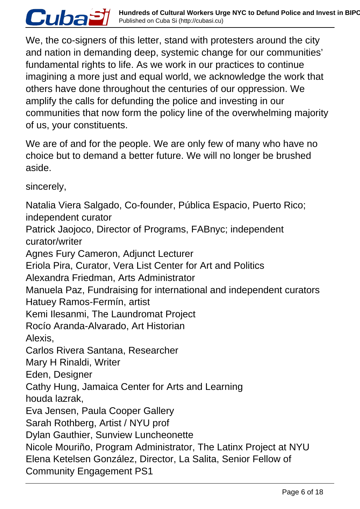We, the co-signers of this letter, stand with protesters around the city and nation in demanding deep, systemic change for our communities' fundamental rights to life. As we work in our practices to continue imagining a more just and equal world, we acknowledge the work that others have done throughout the centuries of our oppression. We amplify the calls for defunding the police and investing in our communities that now form the policy line of the overwhelming majority of us, your constituents.

We are of and for the people. We are only few of many who have no choice but to demand a better future. We will no longer be brushed aside.

sincerely,

*Cubaă* 

Natalia Viera Salgado, Co-founder, Pública Espacio, Puerto Rico; independent curator Patrick Jaojoco, Director of Programs, FABnyc; independent curator/writer Agnes Fury Cameron, Adjunct Lecturer Eriola Pira, Curator, Vera List Center for Art and Politics Alexandra Friedman, Arts Administrator Manuela Paz, Fundraising for international and independent curators Hatuey Ramos-Fermín, artist Kemi Ilesanmi, The Laundromat Project Rocío Aranda-Alvarado, Art Historian Alexis, Carlos Rivera Santana, Researcher Mary H Rinaldi, Writer Eden, Designer Cathy Hung, Jamaica Center for Arts and Learning houda lazrak, Eva Jensen, Paula Cooper Gallery Sarah Rothberg, Artist / NYU prof Dylan Gauthier, Sunview Luncheonette Nicole Mouriño, Program Administrator, The Latinx Project at NYU Elena Ketelsen González, Director, La Salita, Senior Fellow of Community Engagement PS1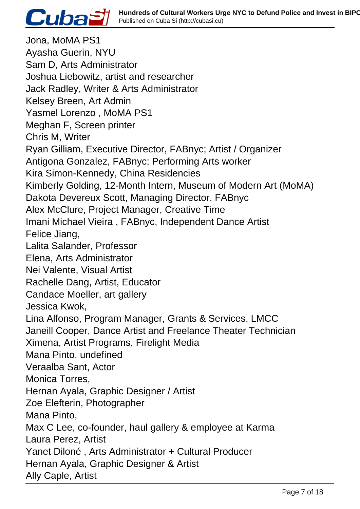

Jona, MoMA PS1 Ayasha Guerin, NYU Sam D, Arts Administrator Joshua Liebowitz, artist and researcher Jack Radley, Writer & Arts Administrator Kelsey Breen, Art Admin Yasmel Lorenzo , MoMA PS1 Meghan F, Screen printer Chris M, Writer Ryan Gilliam, Executive Director, FABnyc; Artist / Organizer Antigona Gonzalez, FABnyc; Performing Arts worker Kira Simon-Kennedy, China Residencies Kimberly Golding, 12-Month Intern, Museum of Modern Art (MoMA) Dakota Devereux Scott, Managing Director, FABnyc Alex McClure, Project Manager, Creative Time Imani Michael Vieira , FABnyc, Independent Dance Artist Felice Jiang, Lalita Salander, Professor Elena, Arts Administrator Nei Valente, Visual Artist Rachelle Dang, Artist, Educator Candace Moeller, art gallery Jessica Kwok, Lina Alfonso, Program Manager, Grants & Services, LMCC Janeill Cooper, Dance Artist and Freelance Theater Technician Ximena, Artist Programs, Firelight Media Mana Pinto, undefined Veraalba Sant, Actor Monica Torres, Hernan Ayala, Graphic Designer / Artist Zoe Elefterin, Photographer Mana Pinto, Max C Lee, co-founder, haul gallery & employee at Karma Laura Perez, Artist Yanet Diloné , Arts Administrator + Cultural Producer Hernan Ayala, Graphic Designer & Artist Ally Caple, Artist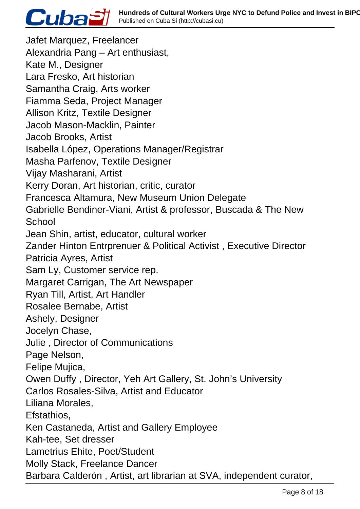

Jafet Marquez, Freelancer Alexandria Pang – Art enthusiast, Kate M., Designer Lara Fresko, Art historian Samantha Craig, Arts worker Fiamma Seda, Project Manager Allison Kritz, Textile Designer Jacob Mason-Macklin, Painter Jacob Brooks, Artist Isabella López, Operations Manager/Registrar Masha Parfenov, Textile Designer Vijay Masharani, Artist Kerry Doran, Art historian, critic, curator Francesca Altamura, New Museum Union Delegate Gabrielle Bendiner-Viani, Artist & professor, Buscada & The New **School** Jean Shin, artist, educator, cultural worker Zander Hinton Entrprenuer & Political Activist , Executive Director Patricia Ayres, Artist Sam Ly, Customer service rep. Margaret Carrigan, The Art Newspaper Ryan Till, Artist, Art Handler Rosalee Bernabe, Artist Ashely, Designer Jocelyn Chase, Julie , Director of Communications Page Nelson, Felipe Mujica, Owen Duffy , Director, Yeh Art Gallery, St. John's University Carlos Rosales-Silva, Artist and Educator Liliana Morales, Efstathios, Ken Castaneda, Artist and Gallery Employee Kah-tee, Set dresser Lametrius Ehite, Poet/Student Molly Stack, Freelance Dancer Barbara Calderón , Artist, art librarian at SVA, independent curator,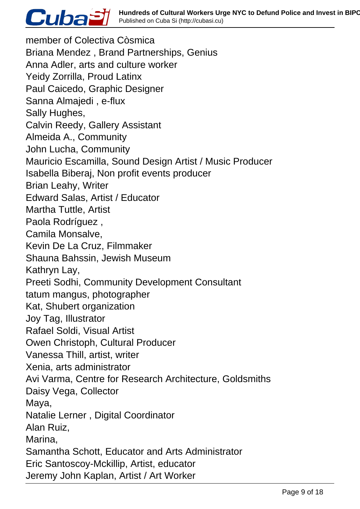

member of Colectiva Còsmica Briana Mendez , Brand Partnerships, Genius Anna Adler, arts and culture worker Yeidy Zorrilla, Proud Latinx Paul Caicedo, Graphic Designer Sanna Almajedi , e-flux Sally Hughes, Calvin Reedy, Gallery Assistant Almeida A., Community John Lucha, Community Mauricio Escamilla, Sound Design Artist / Music Producer Isabella Biberaj, Non profit events producer Brian Leahy, Writer Edward Salas, Artist / Educator Martha Tuttle, Artist Paola Rodríguez , Camila Monsalve, Kevin De La Cruz, Filmmaker Shauna Bahssin, Jewish Museum Kathryn Lay, Preeti Sodhi, Community Development Consultant tatum mangus, photographer Kat, Shubert organization Joy Tag, Illustrator Rafael Soldi, Visual Artist Owen Christoph, Cultural Producer Vanessa Thill, artist, writer Xenia, arts administrator Avi Varma, Centre for Research Architecture, Goldsmiths Daisy Vega, Collector Maya, Natalie Lerner , Digital Coordinator Alan Ruiz, Marina, Samantha Schott, Educator and Arts Administrator Eric Santoscoy-Mckillip, Artist, educator Jeremy John Kaplan, Artist / Art Worker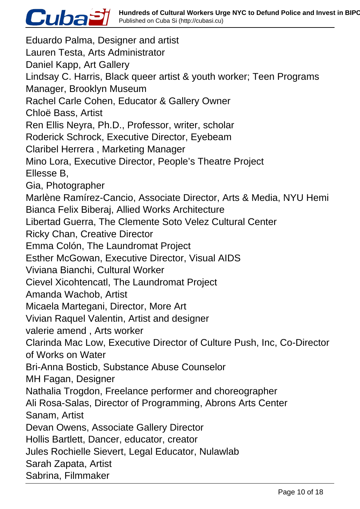

Eduardo Palma, Designer and artist Lauren Testa, Arts Administrator Daniel Kapp, Art Gallery Lindsay C. Harris, Black queer artist & youth worker; Teen Programs Manager, Brooklyn Museum Rachel Carle Cohen, Educator & Gallery Owner Chloë Bass, Artist Ren Ellis Neyra, Ph.D., Professor, writer, scholar Roderick Schrock, Executive Director, Eyebeam Claribel Herrera , Marketing Manager Mino Lora, Executive Director, People's Theatre Project Ellesse B, Gia, Photographer Marlène Ramírez-Cancio, Associate Director, Arts & Media, NYU Hemi Bianca Felix Biberaj, Allied Works Architecture Libertad Guerra, The Clemente Soto Velez Cultural Center Ricky Chan, Creative Director Emma Colón, The Laundromat Project Esther McGowan, Executive Director, Visual AIDS Viviana Bianchi, Cultural Worker Cievel Xicohtencatl, The Laundromat Project Amanda Wachob, Artist Micaela Martegani, Director, More Art Vivian Raquel Valentin, Artist and designer valerie amend , Arts worker Clarinda Mac Low, Executive Director of Culture Push, Inc, Co-Director of Works on Water Bri-Anna Bosticb, Substance Abuse Counselor MH Fagan, Designer Nathalia Trogdon, Freelance performer and choreographer Ali Rosa-Salas, Director of Programming, Abrons Arts Center Sanam, Artist Devan Owens, Associate Gallery Director Hollis Bartlett, Dancer, educator, creator Jules Rochielle Sievert, Legal Educator, Nulawlab Sarah Zapata, Artist Sabrina, Filmmaker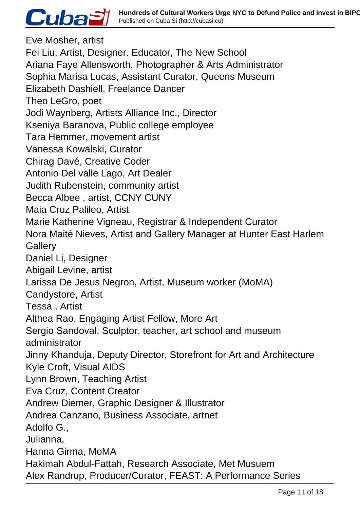

Eve Mosher, artist Fei Liu, Artist, Designer. Educator, The New School Ariana Faye Allensworth, Photographer & Arts Administrator Sophia Marisa Lucas, Assistant Curator, Queens Museum Elizabeth Dashiell, Freelance Dancer Theo LeGro, poet Jodi Waynberg, Artists Alliance Inc., Director Kseniya Baranova, Public college employee Tara Hemmer, movement artist Vanessa Kowalski, Curator Chirag Davé, Creative Coder Antonio Del valle Lago, Art Dealer Judith Rubenstein, community artist Becca Albee , artist, CCNY CUNY Maia Cruz Palileo, Artist Marie Katherine Vigneau, Registrar & Independent Curator Nora Maité Nieves, Artist and Gallery Manager at Hunter East Harlem **Gallery** Daniel Li, Designer Abigail Levine, artist Larissa De Jesus Negron, Artist, Museum worker (MoMA) Candystore, Artist Tessa , Artist Althea Rao, Engaging Artist Fellow, More Art Sergio Sandoval, Sculptor, teacher, art school and museum administrator Jinny Khanduja, Deputy Director, Storefront for Art and Architecture Kyle Croft, Visual AIDS Lynn Brown, Teaching Artist Eva Cruz, Content Creator Andrew Diemer, Graphic Designer & Illustrator Andrea Canzano, Business Associate, artnet Adolfo G., Julianna, Hanna Girma, MoMA Hakimah Abdul-Fattah, Research Associate, Met Musuem Alex Randrup, Producer/Curator, FEAST: A Performance Series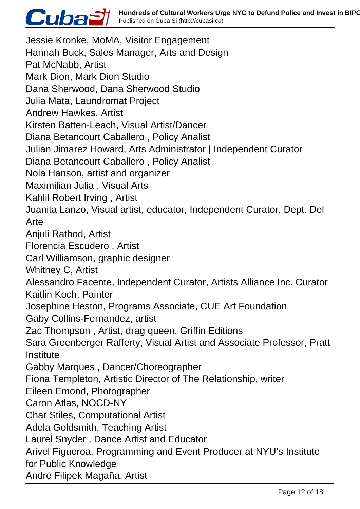## *Cubaฮi*

Jessie Kronke, MoMA, Visitor Engagement Hannah Buck, Sales Manager, Arts and Design Pat McNabb, Artist Mark Dion, Mark Dion Studio Dana Sherwood, Dana Sherwood Studio Julia Mata, Laundromat Project Andrew Hawkes, Artist Kirsten Batten-Leach, Visual Artist/Dancer Diana Betancourt Caballero , Policy Analist Julian Jimarez Howard, Arts Administrator | Independent Curator Diana Betancourt Caballero , Policy Analist Nola Hanson, artist and organizer Maximilian Julia , Visual Arts Kahlil Robert Irving , Artist Juanita Lanzo, Visual artist, educator, Independent Curator, Dept. Del Arte Anjuli Rathod, Artist Florencia Escudero , Artist Carl Williamson, graphic designer Whitney C, Artist Alessandro Facente, Independent Curator, Artists Alliance Inc. Curator Kaitlin Koch, Painter Josephine Heston, Programs Associate, CUE Art Foundation Gaby Collins-Fernandez, artist Zac Thompson , Artist, drag queen, Griffin Editions Sara Greenberger Rafferty, Visual Artist and Associate Professor, Pratt **Institute** Gabby Marques , Dancer/Choreographer Fiona Templeton, Artistic Director of The Relationship, writer Eileen Emond, Photographer Caron Atlas, NOCD-NY Char Stiles, Computational Artist Adela Goldsmith, Teaching Artist Laurel Snyder , Dance Artist and Educator Arivel Figueroa, Programming and Event Producer at NYU's Institute for Public Knowledge André Filipek Magaña, Artist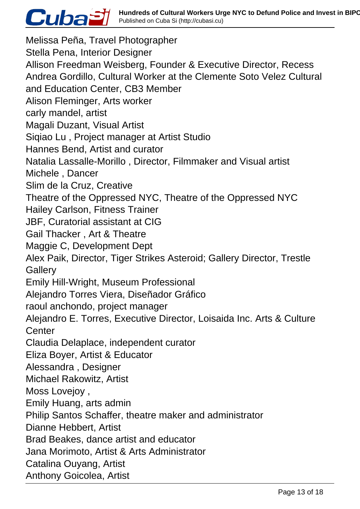

Melissa Peña, Travel Photographer Stella Pena, Interior Designer Allison Freedman Weisberg, Founder & Executive Director, Recess Andrea Gordillo, Cultural Worker at the Clemente Soto Velez Cultural and Education Center, CB3 Member Alison Fleminger, Arts worker carly mandel, artist Magali Duzant, Visual Artist Siqiao Lu , Project manager at Artist Studio Hannes Bend, Artist and curator Natalia Lassalle-Morillo , Director, Filmmaker and Visual artist Michele , Dancer Slim de la Cruz, Creative Theatre of the Oppressed NYC, Theatre of the Oppressed NYC Hailey Carlson, Fitness Trainer JBF, Curatorial assistant at CIG Gail Thacker , Art & Theatre Maggie C, Development Dept Alex Paik, Director, Tiger Strikes Asteroid; Gallery Director, Trestle **Gallery** Emily Hill-Wright, Museum Professional Alejandro Torres Viera, Diseñador Gráfico raoul anchondo, project manager Alejandro E. Torres, Executive Director, Loisaida Inc. Arts & Culture **Center** Claudia Delaplace, independent curator Eliza Boyer, Artist & Educator Alessandra , Designer Michael Rakowitz, Artist Moss Lovejoy , Emily Huang, arts admin Philip Santos Schaffer, theatre maker and administrator Dianne Hebbert, Artist Brad Beakes, dance artist and educator Jana Morimoto, Artist & Arts Administrator Catalina Ouyang, Artist Anthony Goicolea, Artist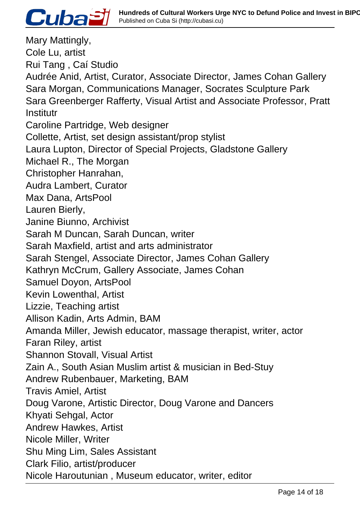

Mary Mattingly, Cole Lu, artist Rui Tang , Caí Studio Audrée Anid, Artist, Curator, Associate Director, James Cohan Gallery Sara Morgan, Communications Manager, Socrates Sculpture Park Sara Greenberger Rafferty, Visual Artist and Associate Professor, Pratt **Institutr** Caroline Partridge, Web designer Collette, Artist, set design assistant/prop stylist Laura Lupton, Director of Special Projects, Gladstone Gallery Michael R., The Morgan Christopher Hanrahan, Audra Lambert, Curator Max Dana, ArtsPool Lauren Bierly, Janine Biunno, Archivist Sarah M Duncan, Sarah Duncan, writer Sarah Maxfield, artist and arts administrator Sarah Stengel, Associate Director, James Cohan Gallery Kathryn McCrum, Gallery Associate, James Cohan Samuel Doyon, ArtsPool Kevin Lowenthal, Artist Lizzie, Teaching artist Allison Kadin, Arts Admin, BAM Amanda Miller, Jewish educator, massage therapist, writer, actor Faran Riley, artist Shannon Stovall, Visual Artist Zain A., South Asian Muslim artist & musician in Bed-Stuy Andrew Rubenbauer, Marketing, BAM Travis Amiel, Artist Doug Varone, Artistic Director, Doug Varone and Dancers Khyati Sehgal, Actor Andrew Hawkes, Artist Nicole Miller, Writer Shu Ming Lim, Sales Assistant Clark Filio, artist/producer Nicole Haroutunian , Museum educator, writer, editor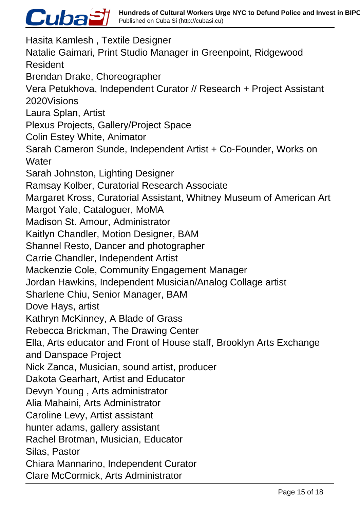# Cuba<sup>S</sup>

Hasita Kamlesh , Textile Designer Natalie Gaimari, Print Studio Manager in Greenpoint, Ridgewood Resident Brendan Drake, Choreographer Vera Petukhova, Independent Curator // Research + Project Assistant 2020Visions Laura Splan, Artist Plexus Projects, Gallery/Project Space Colin Estey White, Animator Sarah Cameron Sunde, Independent Artist + Co-Founder, Works on **Water** Sarah Johnston, Lighting Designer Ramsay Kolber, Curatorial Research Associate Margaret Kross, Curatorial Assistant, Whitney Museum of American Art Margot Yale, Cataloguer, MoMA Madison St. Amour, Administrator Kaitlyn Chandler, Motion Designer, BAM Shannel Resto, Dancer and photographer Carrie Chandler, Independent Artist Mackenzie Cole, Community Engagement Manager Jordan Hawkins, Independent Musician/Analog Collage artist Sharlene Chiu, Senior Manager, BAM Dove Hays, artist Kathryn McKinney, A Blade of Grass Rebecca Brickman, The Drawing Center Ella, Arts educator and Front of House staff, Brooklyn Arts Exchange and Danspace Project Nick Zanca, Musician, sound artist, producer Dakota Gearhart, Artist and Educator Devyn Young , Arts administrator Alia Mahaini, Arts Administrator Caroline Levy, Artist assistant hunter adams, gallery assistant Rachel Brotman, Musician, Educator Silas, Pastor Chiara Mannarino, Independent Curator Clare McCormick, Arts Administrator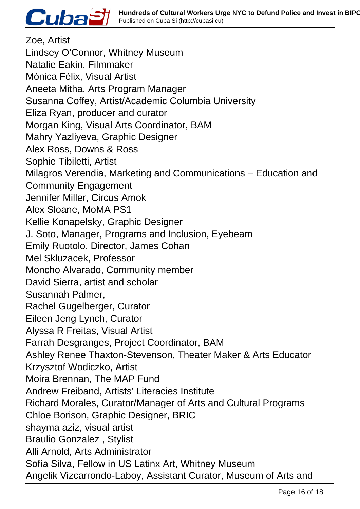

Zoe, Artist Lindsey O'Connor, Whitney Museum Natalie Eakin, Filmmaker Mónica Félix, Visual Artist Aneeta Mitha, Arts Program Manager Susanna Coffey, Artist/Academic Columbia University Eliza Ryan, producer and curator Morgan King, Visual Arts Coordinator, BAM Mahry Yazliyeva, Graphic Designer Alex Ross, Downs & Ross Sophie Tibiletti, Artist Milagros Verendia, Marketing and Communications – Education and Community Engagement Jennifer Miller, Circus Amok Alex Sloane, MoMA PS1 Kellie Konapelsky, Graphic Designer J. Soto, Manager, Programs and Inclusion, Eyebeam Emily Ruotolo, Director, James Cohan Mel Skluzacek, Professor Moncho Alvarado, Community member David Sierra, artist and scholar Susannah Palmer, Rachel Gugelberger, Curator Eileen Jeng Lynch, Curator Alyssa R Freitas, Visual Artist Farrah Desgranges, Project Coordinator, BAM Ashley Renee Thaxton-Stevenson, Theater Maker & Arts Educator Krzysztof Wodiczko, Artist Moira Brennan, The MAP Fund Andrew Freiband, Artists' Literacies Institute Richard Morales, Curator/Manager of Arts and Cultural Programs Chloe Borison, Graphic Designer, BRIC shayma aziz, visual artist Braulio Gonzalez , Stylist Alli Arnold, Arts Administrator Sofía Silva, Fellow in US Latinx Art, Whitney Museum Angelik Vizcarrondo-Laboy, Assistant Curator, Museum of Arts and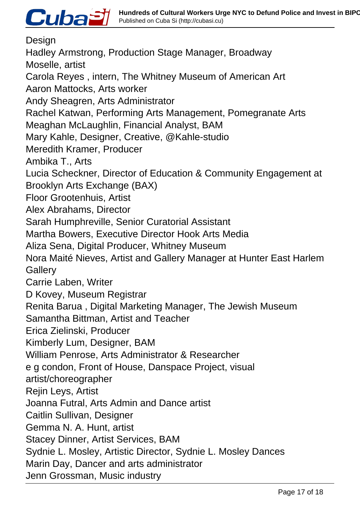

Design Hadley Armstrong, Production Stage Manager, Broadway Moselle, artist Carola Reyes , intern, The Whitney Museum of American Art Aaron Mattocks, Arts worker Andy Sheagren, Arts Administrator Rachel Katwan, Performing Arts Management, Pomegranate Arts Meaghan McLaughlin, Financial Analyst, BAM Mary Kahle, Designer, Creative, @Kahle-studio Meredith Kramer, Producer Ambika T., Arts Lucia Scheckner, Director of Education & Community Engagement at Brooklyn Arts Exchange (BAX) Floor Grootenhuis, Artist Alex Abrahams, Director Sarah Humphreville, Senior Curatorial Assistant Martha Bowers, Executive Director Hook Arts Media Aliza Sena, Digital Producer, Whitney Museum Nora Maité Nieves, Artist and Gallery Manager at Hunter East Harlem **Gallery** Carrie Laben, Writer D Kovey, Museum Registrar Renita Barua , Digital Marketing Manager, The Jewish Museum Samantha Bittman, Artist and Teacher Erica Zielinski, Producer Kimberly Lum, Designer, BAM William Penrose, Arts Administrator & Researcher e g condon, Front of House, Danspace Project, visual artist/choreographer Rejin Leys, Artist Joanna Futral, Arts Admin and Dance artist Caitlin Sullivan, Designer Gemma N. A. Hunt, artist Stacey Dinner, Artist Services, BAM Sydnie L. Mosley, Artistic Director, Sydnie L. Mosley Dances Marin Day, Dancer and arts administrator Jenn Grossman, Music industry